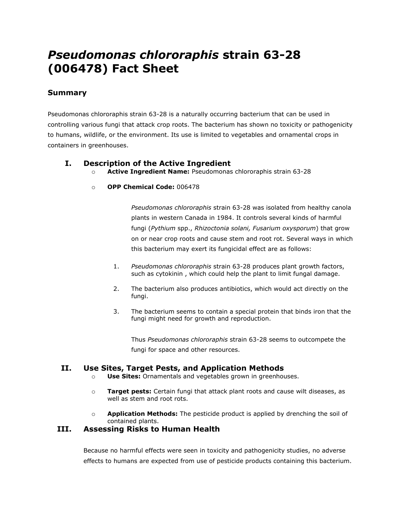# *Pseudomonas chlororaphis* **strain 63-28 (006478) Fact Sheet**

# **Summary**

Pseudomonas chlororaphis strain 63-28 is a naturally occurring bacterium that can be used in controlling various fungi that attack crop roots. The bacterium has shown no toxicity or pathogenicity to humans, wildlife, or the environment. Its use is limited to vegetables and ornamental crops in containers in greenhouses.

## **I. Description of the Active Ingredient**

- o **Active Ingredient Name:** Pseudomonas chlororaphis strain 63-28
- o **OPP Chemical Code:** 006478

*Pseudomonas chlororaphis* strain 63-28 was isolated from healthy canola plants in western Canada in 1984. It controls several kinds of harmful fungi (*Pythium* spp., *Rhizoctonia solani, Fusarium oxysporum*) that grow on or near crop roots and cause stem and root rot. Several ways in which this bacterium may exert its fungicidal effect are as follows:

- 1. *Pseudomonas chlororaphis* strain 63-28 produces plant growth factors, such as cytokinin , which could help the plant to limit fungal damage.
- 2. The bacterium also produces antibiotics, which would act directly on the fungi.
- 3. The bacterium seems to contain a special protein that binds iron that the fungi might need for growth and reproduction.

Thus *Pseudomonas chlororaphis* strain 63-28 seems to outcompete the fungi for space and other resources.

# **II. Use Sites, Target Pests, and Application Methods**

- o **Use Sites:** Ornamentals and vegetables grown in greenhouses.
- o **Target pests:** Certain fungi that attack plant roots and cause wilt diseases, as well as stem and root rots.
- o **Application Methods:** The pesticide product is applied by drenching the soil of contained plants.

#### **III. Assessing Risks to Human Health**

Because no harmful effects were seen in toxicity and pathogenicity studies, no adverse effects to humans are expected from use of pesticide products containing this bacterium.